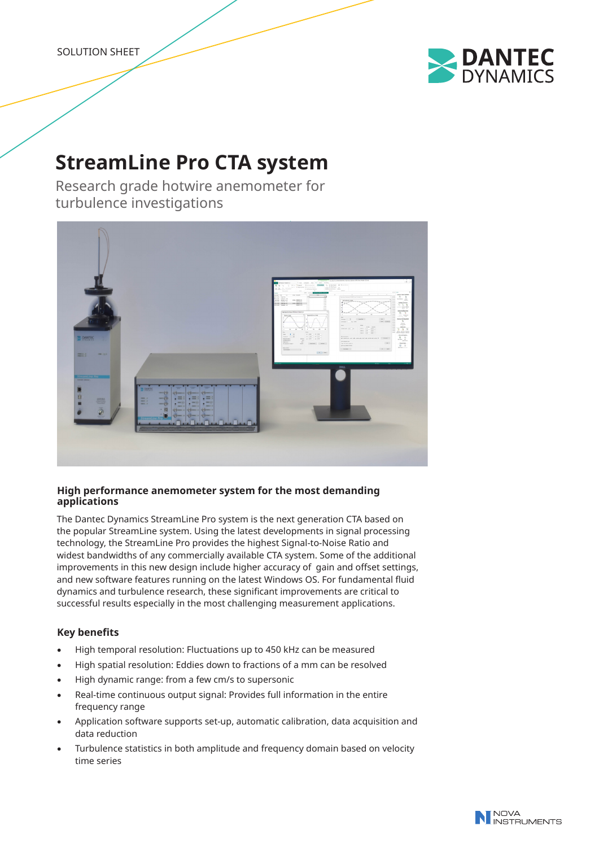SOLUTION SHEET



# **StreamLine Pro CTA system**

Research grade hotwire anemometer for turbulence investigations



# **High performance anemometer system for the most demanding applications**

The Dantec Dynamics StreamLine Pro system is the next generation CTA based on the popular StreamLine system. Using the latest developments in signal processing technology, the StreamLine Pro provides the highest Signal-to-Noise Ratio and widest bandwidths of any commercially available CTA system. Some of the additional improvements in this new design include higher accuracy of gain and offset settings, and new software features running on the latest Windows OS. For fundamental fluid dynamics and turbulence research, these significant improvements are critical to successful results especially in the most challenging measurement applications.

# **Key benefits**

- High temporal resolution: Fluctuations up to 450 kHz can be measured
- High spatial resolution: Eddies down to fractions of a mm can be resolved
- High dynamic range: from a few cm/s to supersonic
- Real-time continuous output signal: Provides full information in the entire frequency range
- Application software supports set-up, automatic calibration, data acquisition and data reduction
- Turbulence statistics in both amplitude and frequency domain based on velocity time series

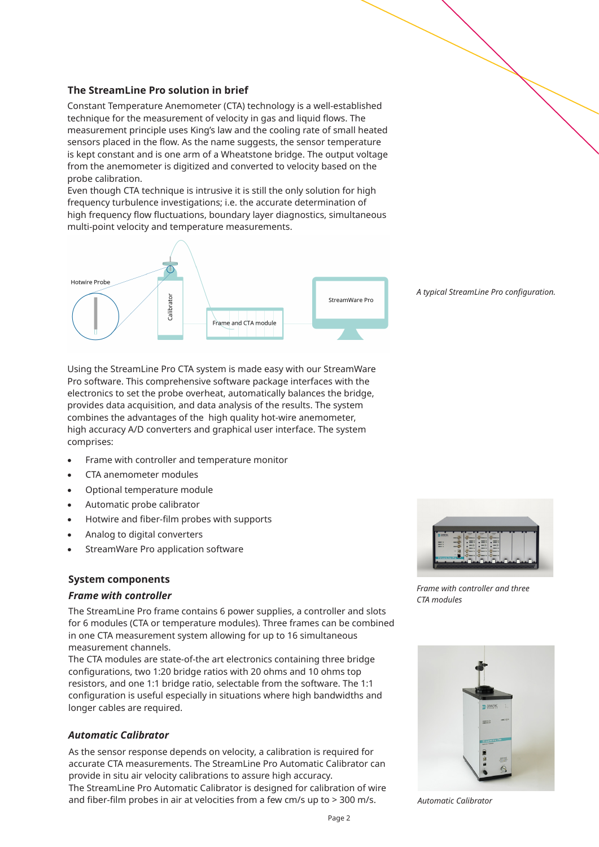#### **The StreamLine Pro solution in brief**

Constant Temperature Anemometer (CTA) technology is a well-established technique for the measurement of velocity in gas and liquid flows. The measurement principle uses King's law and the cooling rate of small heated sensors placed in the flow. As the name suggests, the sensor temperature is kept constant and is one arm of a Wheatstone bridge. The output voltage from the anemometer is digitized and converted to velocity based on the probe calibration.

Even though CTA technique is intrusive it is still the only solution for high frequency turbulence investigations; i.e. the accurate determination of high frequency flow fluctuations, boundary layer diagnostics, simultaneous multi-point velocity and temperature measurements.



*A typical StreamLine Pro configuration.* 

Using the StreamLine Pro CTA system is made easy with our StreamWare Pro software. This comprehensive software package interfaces with the electronics to set the probe overheat, automatically balances the bridge, provides data acquisition, and data analysis of the results. The system combines the advantages of the high quality hot-wire anemometer, high accuracy A/D converters and graphical user interface. The system comprises:

- Frame with controller and temperature monitor
- CTA anemometer modules
- Optional temperature module
- Automatic probe calibrator
- Hotwire and fiber-film probes with supports
- Analog to digital converters
- StreamWare Pro application software

#### **System components**

#### *Frame with controller*

The StreamLine Pro frame contains 6 power supplies, a controller and slots for 6 modules (CTA or temperature modules). Three frames can be combined in one CTA measurement system allowing for up to 16 simultaneous measurement channels.

The CTA modules are state-of-the art electronics containing three bridge configurations, two 1:20 bridge ratios with 20 ohms and 10 ohms top resistors, and one 1:1 bridge ratio, selectable from the software. The 1:1 configuration is useful especially in situations where high bandwidths and longer cables are required.

## *Automatic Calibrator*

As the sensor response depends on velocity, a calibration is required for accurate CTA measurements. The StreamLine Pro Automatic Calibrator can provide in situ air velocity calibrations to assure high accuracy.

The StreamLine Pro Automatic Calibrator is designed for calibration of wire and fiber-film probes in air at velocities from a few cm/s up to > 300 m/s.



*Frame with controller and three CTA modules*



*Automatic Calibrator*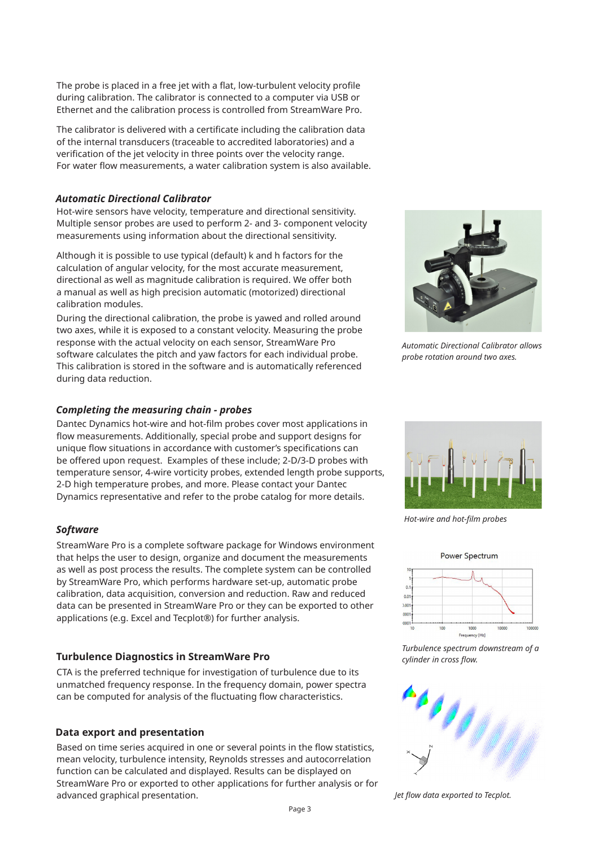The probe is placed in a free jet with a flat, low-turbulent velocity profile during calibration. The calibrator is connected to a computer via USB or Ethernet and the calibration process is controlled from StreamWare Pro.

The calibrator is delivered with a certificate including the calibration data of the internal transducers (traceable to accredited laboratories) and a verification of the jet velocity in three points over the velocity range. For water flow measurements, a water calibration system is also available.

## *Automatic Directional Calibrator*

Hot-wire sensors have velocity, temperature and directional sensitivity. Multiple sensor probes are used to perform 2- and 3- component velocity measurements using information about the directional sensitivity.

Although it is possible to use typical (default) k and h factors for the calculation of angular velocity, for the most accurate measurement, directional as well as magnitude calibration is required. We offer both a manual as well as high precision automatic (motorized) directional calibration modules.

During the directional calibration, the probe is yawed and rolled around two axes, while it is exposed to a constant velocity. Measuring the probe response with the actual velocity on each sensor, StreamWare Pro software calculates the pitch and yaw factors for each individual probe. This calibration is stored in the software and is automatically referenced during data reduction.

# *Completing the measuring chain - probes*

Dantec Dynamics hot-wire and hot-film probes cover most applications in flow measurements. Additionally, special probe and support designs for unique flow situations in accordance with customer's specifications can be offered upon request. Examples of these include; 2-D/3-D probes with temperature sensor, 4-wire vorticity probes, extended length probe supports, 2-D high temperature probes, and more. Please contact your Dantec Dynamics representative and refer to the probe catalog for more details.

# *Software*

StreamWare Pro is a complete software package for Windows environment that helps the user to design, organize and document the measurements as well as post process the results. The complete system can be controlled by StreamWare Pro, which performs hardware set-up, automatic probe calibration, data acquisition, conversion and reduction. Raw and reduced data can be presented in StreamWare Pro or they can be exported to other applications (e.g. Excel and Tecplot®) for further analysis.

# **Turbulence Diagnostics in StreamWare Pro**

CTA is the preferred technique for investigation of turbulence due to its unmatched frequency response. In the frequency domain, power spectra can be computed for analysis of the fluctuating flow characteristics.

# **Data export and presentation**

Based on time series acquired in one or several points in the flow statistics, mean velocity, turbulence intensity, Reynolds stresses and autocorrelation function can be calculated and displayed. Results can be displayed on StreamWare Pro or exported to other applications for further analysis or for advanced graphical presentation.

*Automatic Directional Calibrator allows* 

*probe rotation around two axes.*

Power Spectrum

*Hot-wire and hot-film probes*

 $0.0^{\circ}$  $\overline{100}$  $000$  $0001$ 

*Turbulence spectrum downstream of a cylinder in cross flow.*

 $1000$ 

uency [Hz]

10000



*Jet flow data exported to Tecplot.*